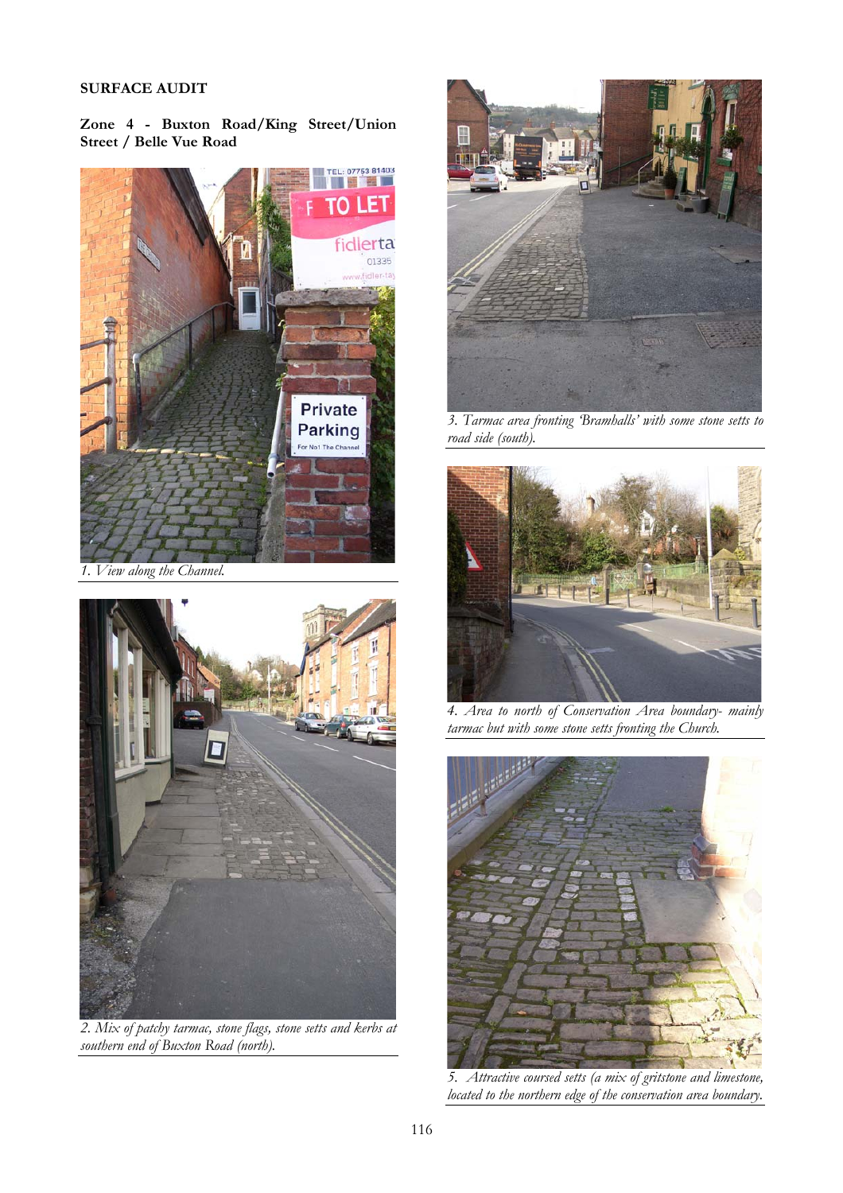## SURFACE AUDIT

Zone 4 - Buxton Road/King Street/Union Street / Belle Vue Road



*1. View along the Channel.* 



*2. Mix of patchy tarmac, stone flags, stone setts and kerbs at southern end of Buxton Road (north).* 



*3. Tarmac area fronting 'Bramhalls' with some stone setts to road side (south).* 



*4. Area to north of Conservation Area boundary- mainly tarmac but with some stone setts fronting the Church.* 



*5. Attractive coursed setts (a mix of gritstone and limestone, located to the northern edge of the conservation area boundary.*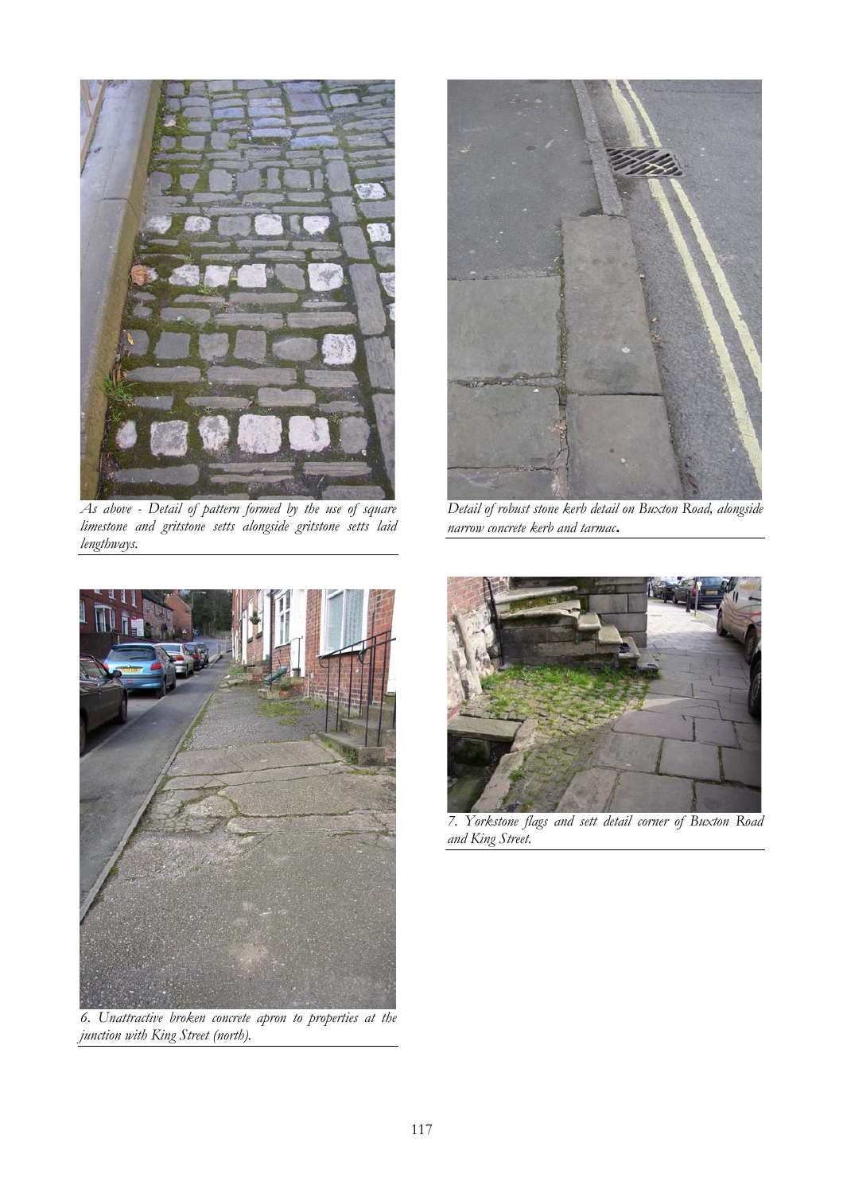

*As above - Detail of pattern formed by the use of square limestone and gritstone setts alongside gritstone setts laid lengthways.* 



*Detail of robust stone kerb detail on Buxton Road, alongside narrow concrete kerb and tarmac*.



*6. Unattractive broken concrete apron to properties at the junction with King Street (north).* 



*7. Yorkstone flags and sett detail corner of Buxton Road and King Street.*